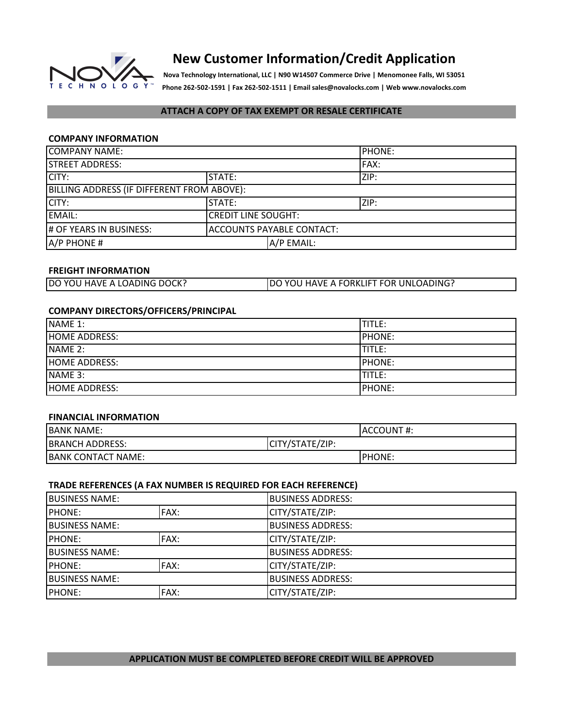

# **New Customer Information/Credit Application**

**Nova Technology International, LLC | N90 W14507 Commerce Drive | Menomonee Falls, WI 53051 Phone 262-502-1591 | Fax 262-502-1511 | Email sales@novalocks.com | Web www.novalocks.com**

## **ATTACH A COPY OF TAX EXEMPT OR RESALE CERTIFICATE**

### **COMPANY INFORMATION**

| <b>COMPANY NAME:</b>                       |                                  |            | <b>IPHONE:</b> |
|--------------------------------------------|----------------------------------|------------|----------------|
| <b>STREET ADDRESS:</b>                     |                                  | FAX:       |                |
| CITY:                                      | STATE:                           |            | ZIP:           |
| BILLING ADDRESS (IF DIFFERENT FROM ABOVE): |                                  |            |                |
| CITY:                                      | <b>STATE:</b>                    |            | ZIP:           |
| EMAIL:                                     | <b>CREDIT LINE SOUGHT:</b>       |            |                |
| # OF YEARS IN BUSINESS:                    | <b>ACCOUNTS PAYABLE CONTACT:</b> |            |                |
| A/P PHONE #                                |                                  | A/P EMAIL: |                |

### **FREIGHT INFORMATION**

| DO YOU HAVE A LOADING DOCK? | <b>DO YOU HAVE A FORKLIFT FOR UNLOADING?</b> |
|-----------------------------|----------------------------------------------|
|-----------------------------|----------------------------------------------|

### **COMPANY DIRECTORS/OFFICERS/PRINCIPAL**

| NAME 1:              | TITLE:         |
|----------------------|----------------|
| <b>HOME ADDRESS:</b> | <b>IPHONE:</b> |
| NAME 2:              | <b>TITLE:</b>  |
| <b>HOME ADDRESS:</b> | <b>PHONE:</b>  |
| NAME 3:              | ITITLE:        |
| <b>HOME ADDRESS:</b> | <b>IPHONE:</b> |

#### **FINANCIAL INFORMATION**

| <b>BANK NAME:</b>         |                 | <b>IACCOUNT#:</b> |
|---------------------------|-----------------|-------------------|
| <b>BRANCH ADDRESS:</b>    | CITY/STATE/ZIP: |                   |
| <b>BANK CONTACT NAME:</b> |                 | <b>IPHONE:</b>    |

### **TRADE REFERENCES (A FAX NUMBER IS REQUIRED FOR EACH REFERENCE)**

| <b>BUSINESS NAME:</b>  |      | <b>BUSINESS ADDRESS:</b> |
|------------------------|------|--------------------------|
| <b>PHONE:</b>          | FAX: | CITY/STATE/ZIP:          |
| <b>BUSINESS NAME:</b>  |      | <b>BUSINESS ADDRESS:</b> |
| <b>PHONE:</b>          | FAX: | CITY/STATE/ZIP:          |
| <b>IBUSINESS NAME:</b> |      | <b>BUSINESS ADDRESS:</b> |
| <b>PHONE:</b>          | FAX: | CITY/STATE/ZIP:          |
| <b>BUSINESS NAME:</b>  |      | <b>BUSINESS ADDRESS:</b> |
| <b>PHONE:</b>          | FAX: | CITY/STATE/ZIP:          |

### **APPLICATION MUST BE COMPLETED BEFORE CREDIT WILL BE APPROVED**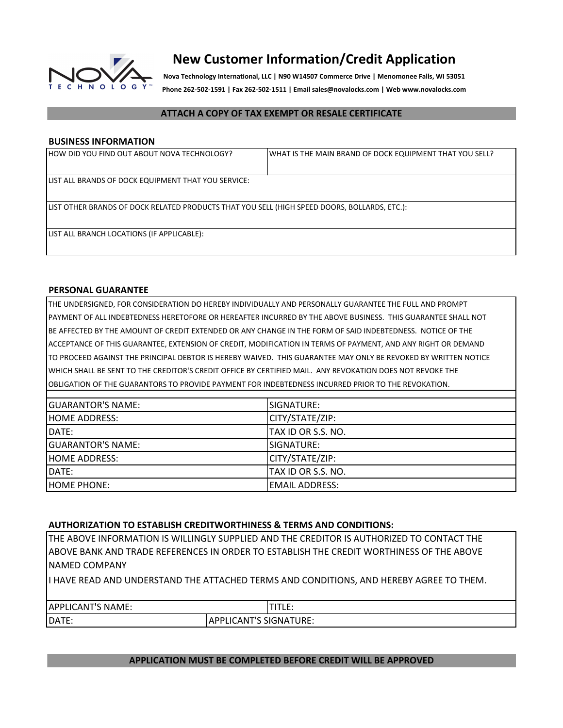

# **New Customer Information/Credit Application**

**Nova Technology International, LLC | N90 W14507 Commerce Drive | Menomonee Falls, WI 53051 Phone 262-502-1591 | Fax 262-502-1511 | Email sales@novalocks.com | Web www.novalocks.com**

### **ATTACH A COPY OF TAX EXEMPT OR RESALE CERTIFICATE**

### **BUSINESS INFORMATION**

| HOW DID YOU FIND OUT ABOUT NOVA TECHNOLOGY?                                                   | WHAT IS THE MAIN BRAND OF DOCK EQUIPMENT THAT YOU SELL? |  |
|-----------------------------------------------------------------------------------------------|---------------------------------------------------------|--|
| LIST ALL BRANDS OF DOCK EQUIPMENT THAT YOU SERVICE:                                           |                                                         |  |
| LIIST OTHER BRANDS OF DOCK RELATED PRODUCTS THAT YOU SELL (HIGH SPEED DOORS, BOLLARDS, ETC.): |                                                         |  |
| LIST ALL BRANCH LOCATIONS (IF APPLICABLE):                                                    |                                                         |  |

### **PERSONAL GUARANTEE**

THE UNDERSIGNED, FOR CONSIDERATION DO HEREBY INDIVIDUALLY AND PERSONALLY GUARANTEE THE FULL AND PROMPT WHICH SHALL BE SENT TO THE CREDITOR'S CREDIT OFFICE BY CERTIFIED MAIL. ANY REVOKATION DOES NOT REVOKE THE OBLIGATION OF THE GUARANTORS TO PROVIDE PAYMENT FOR INDEBTEDNESS INCURRED PRIOR TO THE REVOKATION. PAYMENT OF ALL INDEBTEDNESS HERETOFORE OR HEREAFTER INCURRED BY THE ABOVE BUSINESS. THIS GUARANTEE SHALL NOT BE AFFECTED BY THE AMOUNT OF CREDIT EXTENDED OR ANY CHANGE IN THE FORM OF SAID INDEBTEDNESS. NOTICE OF THE ACCEPTANCE OF THIS GUARANTEE, EXTENSION OF CREDIT, MODIFICATION IN TERMS OF PAYMENT, AND ANY RIGHT OR DEMAND TO PROCEED AGAINST THE PRINCIPAL DEBTOR IS HEREBY WAIVED. THIS GUARANTEE MAY ONLY BE REVOKED BY WRITTEN NOTICE

| <b>GUARANTOR'S NAME:</b> | SIGNATURE:         |
|--------------------------|--------------------|
| <b>HOME ADDRESS:</b>     | CITY/STATE/ZIP:    |
| DATE:                    | TAX ID OR S.S. NO. |
| <b>GUARANTOR'S NAME:</b> | SIGNATURE:         |
| <b>HOME ADDRESS:</b>     | CITY/STATE/ZIP:    |
| DATE:                    | TAX ID OR S.S. NO. |
| <b>HOME PHONE:</b>       | IEMAIL ADDRESS:    |

### **AUTHORIZATION TO ESTABLISH CREDITWORTHINESS & TERMS AND CONDITIONS:**

THE ABOVE INFORMATION IS WILLINGLY SUPPLIED AND THE CREDITOR IS AUTHORIZED TO CONTACT THE ABOVE BANK AND TRADE REFERENCES IN ORDER TO ESTABLISH THE CREDIT WORTHINESS OF THE ABOVE NAMED COMPANY

I HAVE READ AND UNDERSTAND THE ATTACHED TERMS AND CONDITIONS, AND HEREBY AGREE TO THEM.

| <b>APPLICANT'S</b><br>'S NAME: | --                                                   |  |
|--------------------------------|------------------------------------------------------|--|
| DATE:                          | <b>LICANT'S SIGNAT</b><br>TURE:<br><b>ADDI</b><br>−. |  |

### **APPLICATION MUST BE COMPLETED BEFORE CREDIT WILL BE APPROVED**